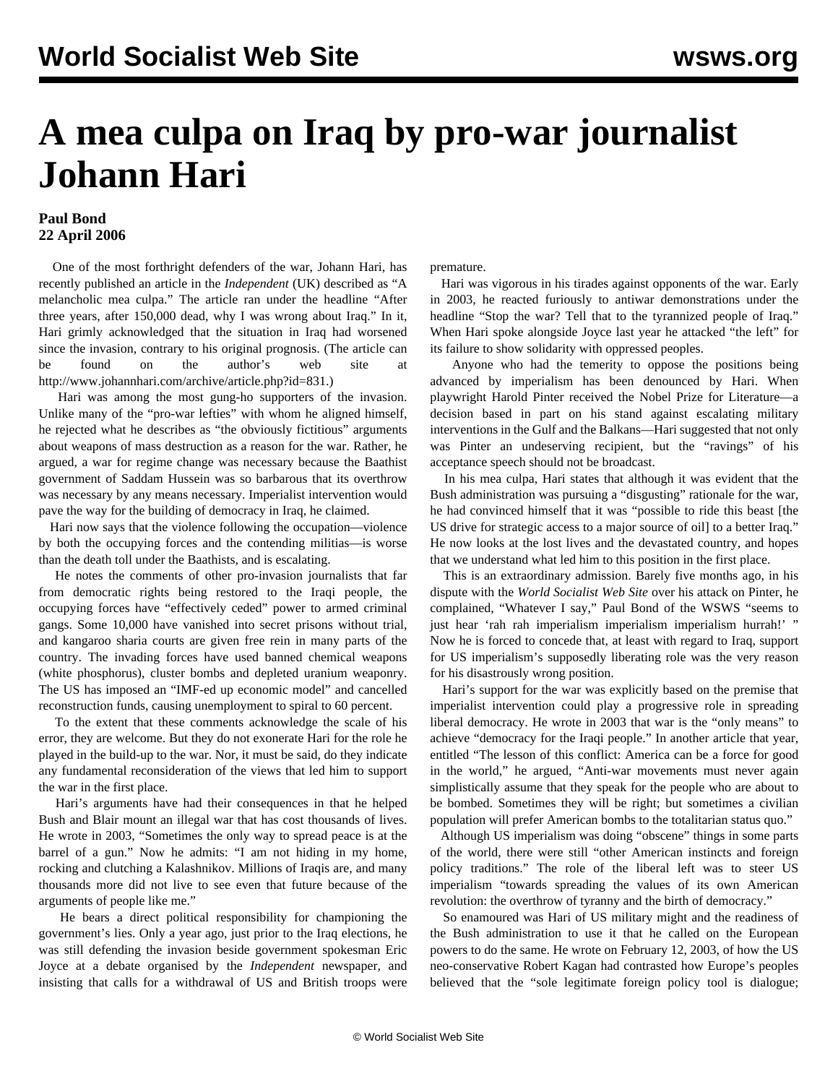## **A mea culpa on Iraq by pro-war journalist Johann Hari**

## **Paul Bond 22 April 2006**

 One of the most forthright defenders of the war, Johann Hari, has recently published an article in the *Independent* (UK) described as "A melancholic mea culpa." The article ran under the headline "After three years, after 150,000 dead, why I was wrong about Iraq." In it, Hari grimly acknowledged that the situation in Iraq had worsened since the invasion, contrary to his original prognosis. (The article can be found on the author's web site at <http://www.johannhari.com/archive/article.php?id=831>.)

 Hari was among the most gung-ho supporters of the invasion. Unlike many of the "pro-war lefties" with whom he aligned himself, he rejected what he describes as "the obviously fictitious" arguments about weapons of mass destruction as a reason for the war. Rather, he argued, a war for regime change was necessary because the Baathist government of Saddam Hussein was so barbarous that its overthrow was necessary by any means necessary. Imperialist intervention would pave the way for the building of democracy in Iraq, he claimed.

 Hari now says that the violence following the occupation—violence by both the occupying forces and the contending militias—is worse than the death toll under the Baathists, and is escalating.

 He notes the comments of other pro-invasion journalists that far from democratic rights being restored to the Iraqi people, the occupying forces have "effectively ceded" power to armed criminal gangs. Some 10,000 have vanished into secret prisons without trial, and kangaroo sharia courts are given free rein in many parts of the country. The invading forces have used banned chemical weapons (white phosphorus), cluster bombs and depleted uranium weaponry. The US has imposed an "IMF-ed up economic model" and cancelled reconstruction funds, causing unemployment to spiral to 60 percent.

 To the extent that these comments acknowledge the scale of his error, they are welcome. But they do not exonerate Hari for the role he played in the build-up to the war. Nor, it must be said, do they indicate any fundamental reconsideration of the views that led him to support the war in the first place.

 Hari's arguments have had their consequences in that he helped Bush and Blair mount an illegal war that has cost thousands of lives. He wrote in 2003, "Sometimes the only way to spread peace is at the barrel of a gun." Now he admits: "I am not hiding in my home, rocking and clutching a Kalashnikov. Millions of Iraqis are, and many thousands more did not live to see even that future because of the arguments of people like me."

 He bears a direct political responsibility for championing the government's lies. Only a year ago, just prior to the Iraq elections, he was still defending the invasion beside government spokesman Eric Joyce at a debate organised by the *Independent* newspaper, and insisting that calls for a withdrawal of US and British troops were

premature.

 Hari was vigorous in his tirades against opponents of the war. Early in 2003, he reacted furiously to antiwar demonstrations under the headline "Stop the war? Tell that to the tyrannized people of Iraq." When Hari spoke alongside Joyce last year he attacked "the left" for its failure to show solidarity with oppressed peoples.

 Anyone who had the temerity to oppose the positions being advanced by imperialism has been denounced by Hari. When playwright Harold Pinter received the Nobel Prize for Literature—a decision based in part on his stand against escalating military interventions in the Gulf and the Balkans—Hari suggested that not only was Pinter an undeserving recipient, but the "ravings" of his acceptance speech should not be broadcast.

 In his mea culpa, Hari states that although it was evident that the Bush administration was pursuing a "disgusting" rationale for the war, he had convinced himself that it was "possible to ride this beast [the US drive for strategic access to a major source of oil] to a better Iraq." He now looks at the lost lives and the devastated country, and hopes that we understand what led him to this position in the first place.

 This is an extraordinary admission. Barely five months ago, in his dispute with the *World Socialist Web Site* over his attack on Pinter, he complained, "Whatever I say," Paul Bond of the WSWS "seems to just hear 'rah rah imperialism imperialism imperialism hurrah!' " Now he is forced to concede that, at least with regard to Iraq, support for US imperialism's supposedly liberating role was the very reason for his disastrously wrong position.

 Hari's support for the war was explicitly based on the premise that imperialist intervention could play a progressive role in spreading liberal democracy. He wrote in 2003 that war is the "only means" to achieve "democracy for the Iraqi people." In another article that year, entitled "The lesson of this conflict: America can be a force for good in the world," he argued, "Anti-war movements must never again simplistically assume that they speak for the people who are about to be bombed. Sometimes they will be right; but sometimes a civilian population will prefer American bombs to the totalitarian status quo."

 Although US imperialism was doing "obscene" things in some parts of the world, there were still "other American instincts and foreign policy traditions." The role of the liberal left was to steer US imperialism "towards spreading the values of its own American revolution: the overthrow of tyranny and the birth of democracy."

 So enamoured was Hari of US military might and the readiness of the Bush administration to use it that he called on the European powers to do the same. He wrote on February 12, 2003, of how the US neo-conservative Robert Kagan had contrasted how Europe's peoples believed that the "sole legitimate foreign policy tool is dialogue;